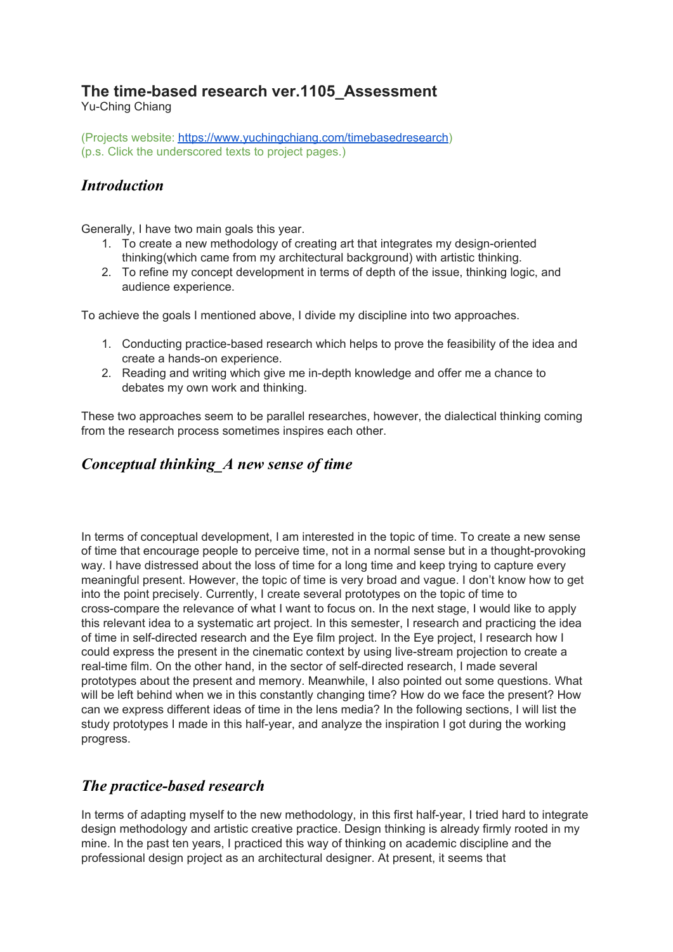# **The time-based research ver.1105\_Assessment**

Yu-Ching Chiang

(Projects website: <https://www.yuchingchiang.com/timebasedresearch>) (p.s. Click the underscored texts to project pages.)

# *Introduction*

Generally, I have two main goals this year.

- 1. To create a new methodology of creating art that integrates my design-oriented thinking(which came from my architectural background) with artistic thinking.
- 2. To refine my concept development in terms of depth of the issue, thinking logic, and audience experience.

To achieve the goals I mentioned above, I divide my discipline into two approaches.

- 1. Conducting practice-based research which helps to prove the feasibility of the idea and create a hands-on experience.
- 2. Reading and writing which give me in-depth knowledge and offer me a chance to debates my own work and thinking.

These two approaches seem to be parallel researches, however, the dialectical thinking coming from the research process sometimes inspires each other.

# *Conceptual thinking\_A new sense of time*

In terms of conceptual development, I am interested in the topic of time. To create a new sense of time that encourage people to perceive time, not in a normal sense but in a thought-provoking way. I have distressed about the loss of time for a long time and keep trying to capture every meaningful present. However, the topic of time is very broad and vague. I don't know how to get into the point precisely. Currently, I create several prototypes on the topic of time to cross-compare the relevance of what I want to focus on. In the next stage, I would like to apply this relevant idea to a systematic art project. In this semester, I research and practicing the idea of time in self-directed research and the Eye film project. In the Eye project, I research how I could express the present in the cinematic context by using live-stream projection to create a real-time film. On the other hand, in the sector of self-directed research, I made several prototypes about the present and memory. Meanwhile, I also pointed out some questions. What will be left behind when we in this constantly changing time? How do we face the present? How can we express different ideas of time in the lens media? In the following sections, I will list the study prototypes I made in this half-year, and analyze the inspiration I got during the working progress.

## *The practice-based research*

In terms of adapting myself to the new methodology, in this first half-year, I tried hard to integrate design methodology and artistic creative practice. Design thinking is already firmly rooted in my mine. In the past ten years, I practiced this way of thinking on academic discipline and the professional design project as an architectural designer. At present, it seems that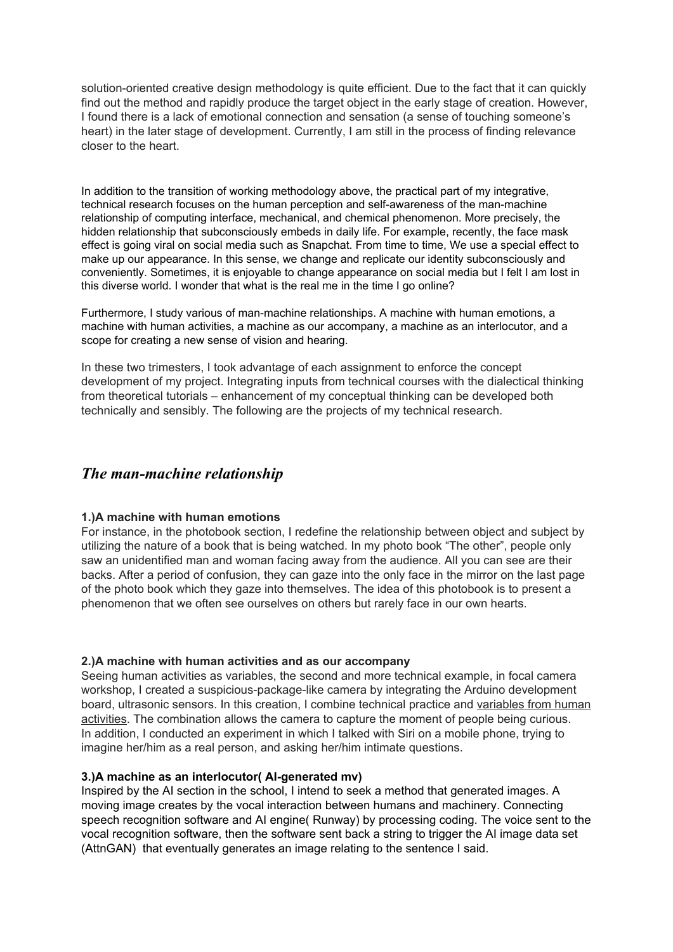solution-oriented creative design methodology is quite efficient. Due to the fact that it can quickly find out the method and rapidly produce the target object in the early stage of creation. However, I found there is a lack of emotional connection and sensation (a sense of touching someone's heart) in the later stage of development. Currently, I am still in the process of finding relevance closer to the heart.

In addition to the transition of working methodology above, the practical part of my integrative, technical research focuses on the human perception and self-awareness of the man-machine relationship of computing interface, mechanical, and chemical phenomenon. More precisely, the hidden relationship that subconsciously embeds in daily life. For example, recently, the face mask effect is going viral on social media such as Snapchat. From time to time, We use a special effect to make up our appearance. In this sense, we change and replicate our identity subconsciously and conveniently. Sometimes, it is enjoyable to change appearance on social media but I felt I am lost in this diverse world. I wonder that what is the real me in the time I go online?

Furthermore, I study various of man-machine relationships. A machine with human emotions, a machine with human activities, a machine as our accompany, a machine as an interlocutor, and a scope for creating a new sense of vision and hearing.

In these two trimesters, I took advantage of each assignment to enforce the concept development of my project. Integrating inputs from technical courses with the dialectical thinking from theoretical tutorials – enhancement of my conceptual thinking can be developed both technically and sensibly. The following are the projects of my technical research.

### *The man-machine relationship*

#### **1.)A machine with human emotions**

For instance, in the photobook section, I redefine the relationship between object and subject by utilizing the nature of a book that is being watched. In my photo book "The other", people only saw an unidentified man and woman facing away from the audience. All you can see are their backs. After a period of confusion, they can gaze into the only face in the mirror on the last page of the photo book which they gaze into themselves. The idea of this photobook is to present a phenomenon that we often see ourselves on others but rarely face in our own hearts.

#### **2.)A machine with human activities and as our accompany**

Seeing human activities as variables, the second and more technical example, in focal camera workshop, I created a suspicious-package-like camera by integrating the Arduino development board, ultrasonic sensors. In this creation, I combine technical practice and variables from human activities. The combination allows the camera to capture the moment of people being curious. In addition, I conducted an experiment in which I talked with Siri on a mobile phone, trying to imagine her/him as a real person, and asking her/him intimate questions.

#### **3.)A machine as an interlocutor( AI-generated mv)**

Inspired by the AI section in the school, I intend to seek a method that generated images. A moving image creates by the vocal interaction between humans and machinery. Connecting speech recognition software and AI engine( Runway) by processing coding. The voice sent to the vocal recognition software, then the software sent back a string to trigger the AI image data set (AttnGAN) that eventually generates an image relating to the sentence I said.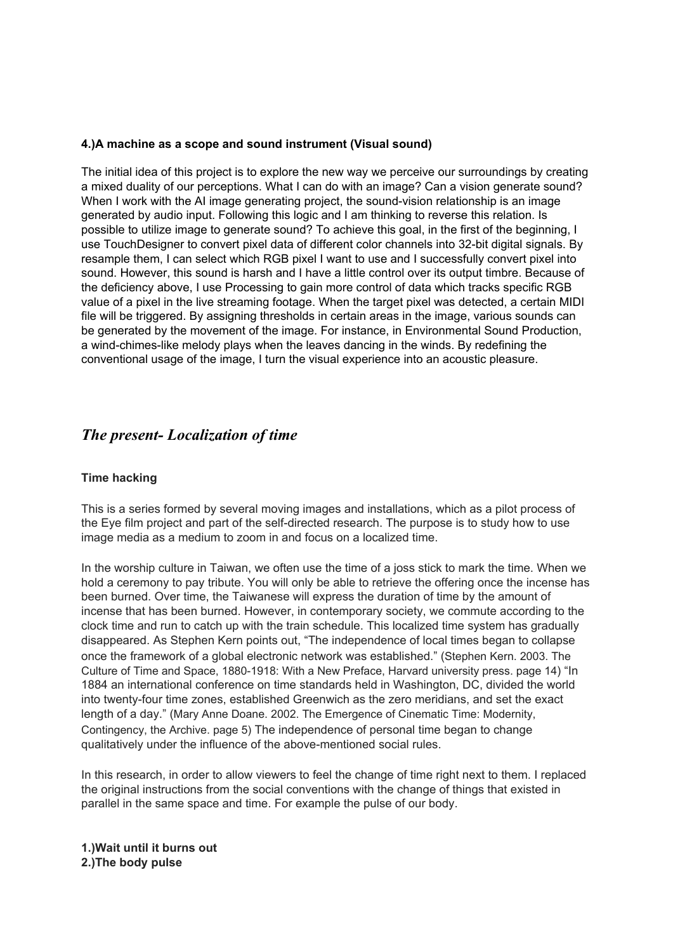### **4.)A machine as a scope and sound instrument (Visual sound)**

The initial idea of this project is to explore the new way we perceive our surroundings by creating a mixed duality of our perceptions. What I can do with an image? Can a vision generate sound? When I work with the AI image generating project, the sound-vision relationship is an image generated by audio input. Following this logic and I am thinking to reverse this relation. Is possible to utilize image to generate sound? To achieve this goal, in the first of the beginning, I use TouchDesigner to convert pixel data of different color channels into 32-bit digital signals. By resample them, I can select which RGB pixel I want to use and I successfully convert pixel into sound. However, this sound is harsh and I have a little control over its output timbre. Because of the deficiency above, I use Processing to gain more control of data which tracks specific RGB value of a pixel in the live streaming footage. When the target pixel was detected, a certain MIDI file will be triggered. By assigning thresholds in certain areas in the image, various sounds can be generated by the movement of the image. For instance, in Environmental Sound Production, a wind-chimes-like melody plays when the leaves dancing in the winds. By redefining the conventional usage of the image, I turn the visual experience into an acoustic pleasure.

## *The present- Localization of time*

#### **Time hacking**

This is a series formed by several moving images and installations, which as a pilot process of the Eye film project and part of the self-directed research. The purpose is to study how to use image media as a medium to zoom in and focus on a localized time.

In the worship culture in Taiwan, we often use the time of a joss stick to mark the time. When we hold a ceremony to pay tribute. You will only be able to retrieve the offering once the incense has been burned. Over time, the Taiwanese will express the duration of time by the amount of incense that has been burned. However, in contemporary society, we commute according to the clock time and run to catch up with the train schedule. This localized time system has gradually disappeared. As Stephen Kern points out, "The independence of local times began to collapse once the framework of a global electronic network was established." (Stephen Kern. 2003. The Culture of Time and Space, 1880-1918: With a New Preface, Harvard university press. page 14) "In 1884 an international conference on time standards held in Washington, DC, divided the world into twenty-four time zones, established Greenwich as the zero meridians, and set the exact length of a day." (Mary Anne Doane. 2002. The Emergence of Cinematic Time: Modernity, Contingency, the Archive. page 5) The independence of personal time began to change qualitatively under the influence of the above-mentioned social rules.

In this research, in order to allow viewers to feel the change of time right next to them. I replaced the original instructions from the social conventions with the change of things that existed in parallel in the same space and time. For example the pulse of our body.

**1.)Wait until it burns out 2.)The body pulse**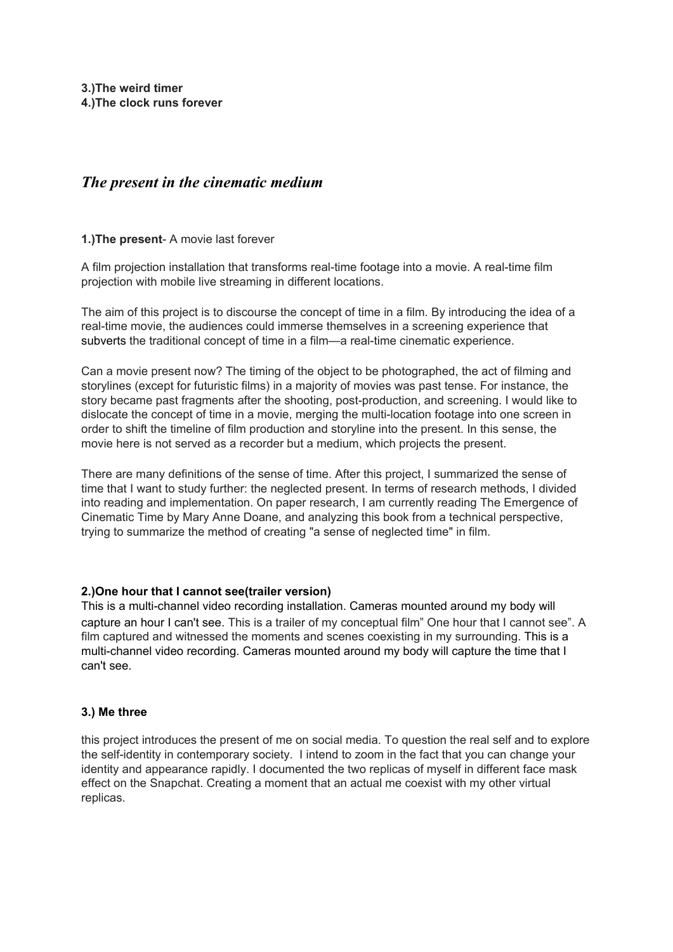## *The present in the cinematic medium*

### **1.)The present**- A movie last forever

A film projection installation that transforms real-time footage into a movie. A real-time film projection with mobile live streaming in different locations.

The aim of this project is to discourse the concept of time in a film. By introducing the idea of a real-time movie, the audiences could immerse themselves in a screening experience that subverts the traditional concept of time in a film—a real-time cinematic experience.

Can a movie present now? The timing of the object to be photographed, the act of filming and storylines (except for futuristic films) in a majority of movies was past tense. For instance, the story became past fragments after the shooting, post-production, and screening. I would like to dislocate the concept of time in a movie, merging the multi-location footage into one screen in order to shift the timeline of film production and storyline into the present. In this sense, the movie here is not served as a recorder but a medium, which projects the present.

There are many definitions of the sense of time. After this project, I summarized the sense of time that I want to study further: the neglected present. In terms of research methods, I divided into reading and implementation. On paper research, I am currently reading The Emergence of Cinematic Time by Mary Anne Doane, and analyzing this book from a technical perspective, trying to summarize the method of creating "a sense of neglected time" in film.

#### **2.)One hour that I cannot see(trailer version)**

This is a multi-channel video recording installation. Cameras mounted around my body will capture an hour I can't see. This is a trailer of my conceptual film" One hour that I cannot see". A film captured and witnessed the moments and scenes coexisting in my surrounding. This is a multi-channel video recording. Cameras mounted around my body will capture the time that I can't see.

### **3.) Me three**

this project introduces the present of me on social media. To question the real self and to explore the self-identity in contemporary society. I intend to zoom in the fact that you can change your identity and appearance rapidly. I documented the two replicas of myself in different face mask effect on the Snapchat. Creating a moment that an actual me coexist with my other virtual replicas.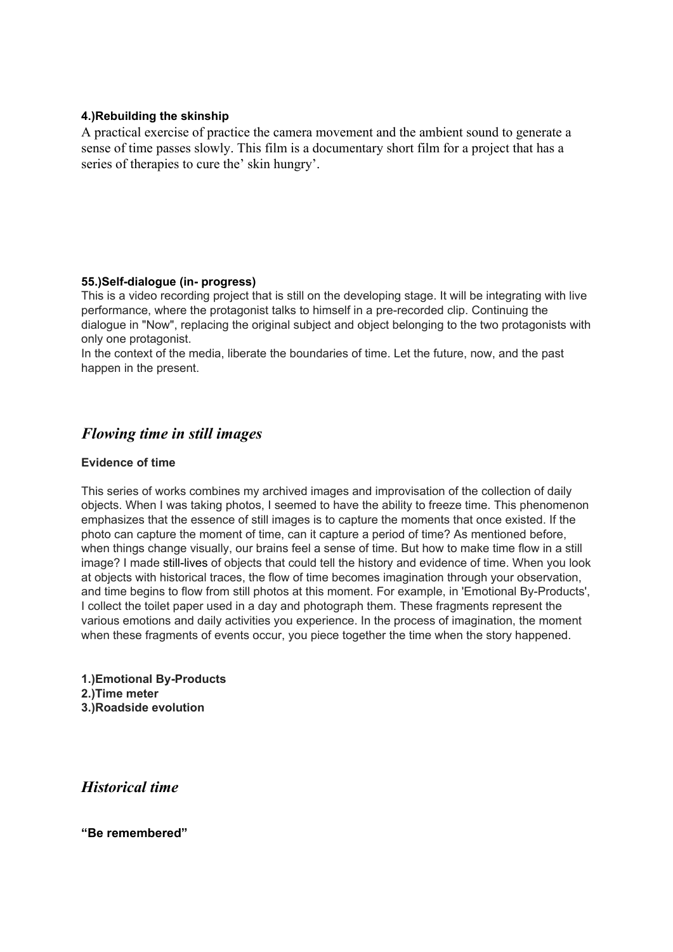### **4.)Rebuilding the skinship**

A practical exercise of practice the camera movement and the ambient sound to generate a sense of time passes slowly. This film is a documentary short film for a project that has a series of therapies to cure the' skin hungry'.

### **55.)Self-dialogue (in- progress)**

This is a video recording project that is still on the developing stage. It will be integrating with live performance, where the protagonist talks to himself in a pre-recorded clip. Continuing the dialogue in "Now", replacing the original subject and object belonging to the two protagonists with only one protagonist.

In the context of the media, liberate the boundaries of time. Let the future, now, and the past happen in the present.

# *Flowing time in still images*

### **Evidence of time**

This series of works combines my archived images and improvisation of the collection of daily objects. When I was taking photos, I seemed to have the ability to freeze time. This phenomenon emphasizes that the essence of still images is to capture the moments that once existed. If the photo can capture the moment of time, can it capture a period of time? As mentioned before, when things change visually, our brains feel a sense of time. But how to make time flow in a still image? I made still-lives of objects that could tell the history and evidence of time. When you look at objects with historical traces, the flow of time becomes imagination through your observation, and time begins to flow from still photos at this moment. For example, in 'Emotional By-Products', I collect the toilet paper used in a day and photograph them. These fragments represent the various emotions and daily activities you experience. In the process of imagination, the moment when these fragments of events occur, you piece together the time when the story happened.

**1.)Emotional By-Products 2.)Time meter 3.)Roadside evolution**

*Historical time*

**"Be remembered"**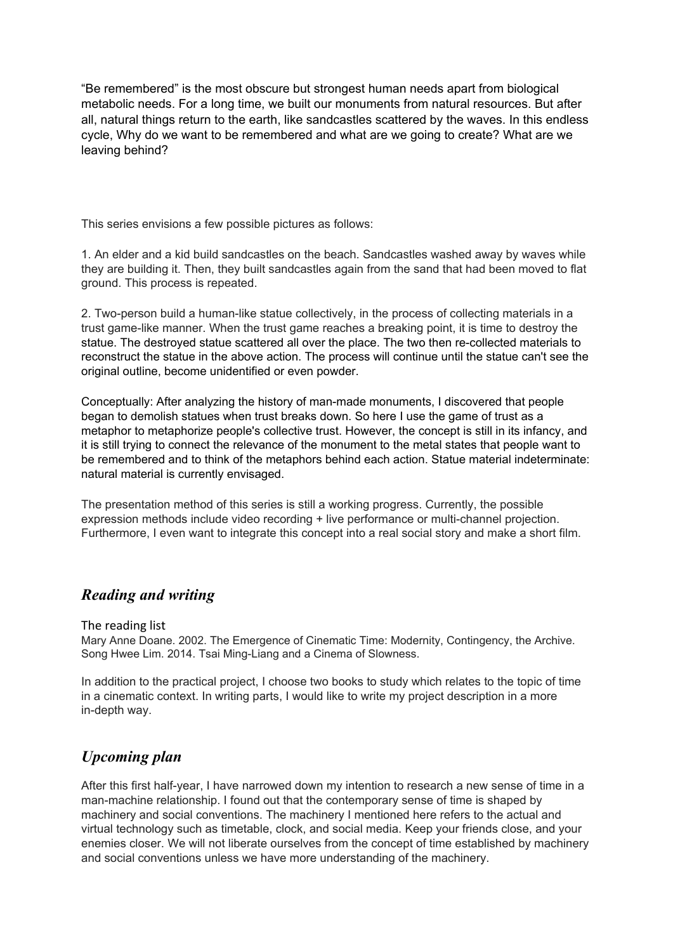"Be remembered" is the most obscure but strongest human needs apart from biological metabolic needs. For a long time, we built our monuments from natural resources. But after all, natural things return to the earth, like sandcastles scattered by the waves. In this endless cycle, Why do we want to be remembered and what are we going to create? What are we leaving behind?

This series envisions a few possible pictures as follows:

1. An elder and a kid build sandcastles on the beach. Sandcastles washed away by waves while they are building it. Then, they built sandcastles again from the sand that had been moved to flat ground. This process is repeated.

2. Two-person build a human-like statue collectively, in the process of collecting materials in a trust game-like manner. When the trust game reaches a breaking point, it is time to destroy the statue. The destroyed statue scattered all over the place. The two then re-collected materials to reconstruct the statue in the above action. The process will continue until the statue can't see the original outline, become unidentified or even powder.

Conceptually: After analyzing the history of man-made monuments, I discovered that people began to demolish statues when trust breaks down. So here I use the game of trust as a metaphor to metaphorize people's collective trust. However, the concept is still in its infancy, and it is still trying to connect the relevance of the monument to the metal states that people want to be remembered and to think of the metaphors behind each action. Statue material indeterminate: natural material is currently envisaged.

The presentation method of this series is still a working progress. Currently, the possible expression methods include video recording + live performance or multi-channel projection. Furthermore, I even want to integrate this concept into a real social story and make a short film.

## *Reading and writing*

The reading list

Mary Anne Doane. 2002. The Emergence of Cinematic Time: Modernity, Contingency, the Archive. Song Hwee Lim. 2014. Tsai Ming-Liang and a Cinema of Slowness.

In addition to the practical project, I choose two books to study which relates to the topic of time in a cinematic context. In writing parts, I would like to write my project description in a more in-depth way.

# *Upcoming plan*

After this first half-year, I have narrowed down my intention to research a new sense of time in a man-machine relationship. I found out that the contemporary sense of time is shaped by machinery and social conventions. The machinery I mentioned here refers to the actual and virtual technology such as timetable, clock, and social media. Keep your friends close, and your enemies closer. We will not liberate ourselves from the concept of time established by machinery and social conventions unless we have more understanding of the machinery.